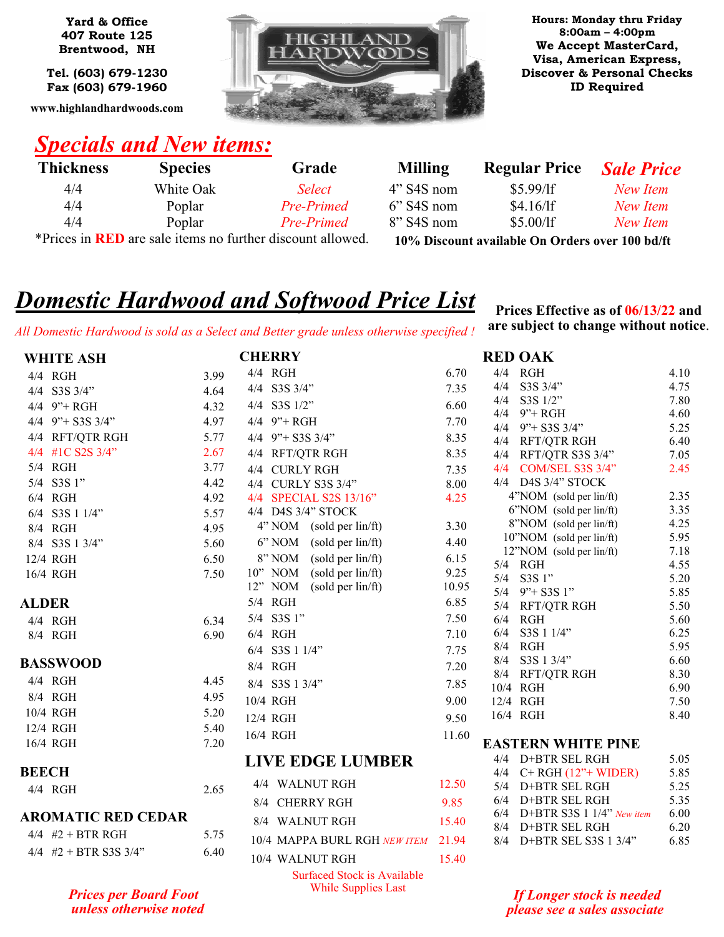**Yard & Office 407 Route 125 Brentwood, NH**

**Tel. (603) 679-1230 Fax (603) 679-1960**

**www.highlandhardwoods.com**



**Hours: Monday thru Friday 8:00am – 4:00pm We Accept MasterCard, Visa, American Express, Discover & Personal Checks ID Required**

## *Specials and New items:*

*unless otherwise noted*

| <b>Thickness</b>                                                  | <b>Species</b> | Grade             | <b>Milling</b> | <b>Regular Price</b>                            | <b>Sale Price</b> |
|-------------------------------------------------------------------|----------------|-------------------|----------------|-------------------------------------------------|-------------------|
| 4/4                                                               | White Oak      | <i>Select</i>     | $4"$ S4S nom   | $$5.99/$ If                                     | New Item          |
| 4/4                                                               | Poplar         | <b>Pre-Primed</b> | $6$ " S4S nom  | $$4.16/$ If                                     | New Item          |
| 4/4                                                               | Poplar         | Pre-Primed        | $8$ " S4S nom  | \$5.00/1f                                       | New Item          |
| *Prices in <b>RED</b> are sale items no further discount allowed. |                |                   |                | 10% Discount available On Orders over 100 bd/ft |                   |

# *Domestic Hardwood and Softwood Price List*

*All Domestic Hardwood is sold as a Select and Better grade unless otherwise specified !*

**Prices Effective as of 06/13/22 and are subject to change without notice**.

**RED OAK**

|              | <b>WHITE ASH</b>             |      | <b>CHERRY</b>                                                |               |
|--------------|------------------------------|------|--------------------------------------------------------------|---------------|
|              | 4/4 RGH                      | 3.99 | 4/4 RGH                                                      | 6.70          |
|              | 4/4 S3S 3/4"                 | 4.64 | 4/4 S3S 3/4"                                                 | 7.35          |
|              | $4/4$ 9" + RGH               | 4.32 | 4/4 S3S 1/2"                                                 | 6.60          |
|              | $4/4$ 9" + S3S 3/4"          | 4.97 | $4/4$ 9" + RGH                                               | 7.70          |
|              | 4/4 RFT/QTR RGH              | 5.77 | $4/4$ 9" + S3S 3/4"                                          | 8.35          |
| 4/4          | #1C S2S 3/4"                 | 2.67 | 4/4 RFT/QTR RGH                                              | 8.35          |
| 5/4          | RGH                          | 3.77 | 4/4<br><b>CURLY RGH</b>                                      | 7.35          |
| 5/4          | S3S 1"                       | 4.42 | 4/4 CURLY S3S 3/4"                                           | 8.00          |
|              | $6/4$ RGH                    | 4.92 | 4/4 SPECIAL S2S 13/16"                                       | 4.25          |
| 6/4          | S3S 1 1/4"                   | 5.57 | 4/4 D4S 3/4" STOCK                                           |               |
|              | 8/4 RGH                      | 4.95 | 4" NOM<br>(sold per lin/ft)                                  | 3.30          |
|              | 8/4 S3S 1 3/4"               | 5.60 | 6" NOM<br>(sold per lin/ft)                                  | 4.40          |
|              | 12/4 RGH                     | 6.50 | 8" NOM<br>(sold per lin/ft)                                  | 6.15          |
|              | 16/4 RGH                     | 7.50 | (sold per lin/ft)<br>10" NOM<br>12" NOM<br>(sold per lin/ft) | 9.25<br>10.95 |
| <b>ALDER</b> |                              |      | 5/4 RGH                                                      | 6.85          |
|              | 4/4 RGH                      | 6.34 | 5/4 S3S 1"                                                   | 7.50          |
|              | 8/4 RGH                      | 6.90 | $6/4$ RGH                                                    | 7.10          |
|              |                              |      | 6/4 S3S 1 1/4"                                               | 7.75          |
|              | BASSWOOD                     |      | 8/4 RGH                                                      | 7.20          |
|              | 4/4 RGH                      | 4.45 | 8/4 S3S 1 3/4"                                               | 7.85          |
|              | 8/4 RGH                      | 4.95 | 10/4 RGH                                                     | 9.00          |
|              | 10/4 RGH                     | 5.20 | 12/4 RGH                                                     | 9.50          |
|              | 12/4 RGH                     | 5.40 | 16/4 RGH                                                     | 11.60         |
|              | 16/4 RGH                     | 7.20 |                                                              |               |
| <b>BEECH</b> |                              |      | LIVE EDGE LUMBER                                             |               |
|              | $4/4$ RGH                    | 2.65 | 4/4 WALNUT RGH                                               | 12.50         |
|              |                              |      | 8/4<br><b>CHERRY RGH</b>                                     | 9.85          |
|              | <b>AROMATIC RED CEDAR</b>    |      | 8/4 WALNUT RGH                                               | 15.40         |
|              | $4/4$ #2 + BTR RGH           | 5.75 | 10/4 MAPPA BURL RGH NEW ITEM                                 | 21.94         |
|              | $4/4$ #2 + BTR S3S 3/4"      | 6.40 | 10/4 WALNUT RGH                                              | 15.40         |
|              | <b>Prices per Board Foot</b> |      | Surfaced Stock is Available<br><b>While Supplies Last</b>    |               |

| 4/4  | <b>RGH</b>                   | 4.10 |
|------|------------------------------|------|
|      | 4/4 S3S 3/4"                 | 4.75 |
|      | 4/4 S3S 1/2"                 | 7.80 |
|      | $4/4$ 9" + RGH               | 4.60 |
|      | $4/4$ 9" + S3S 3/4"          | 5.25 |
| 4/4  | RFT/QTR RGH                  | 6.40 |
| 4/4  | RFT/QTR S3S 3/4"             | 7.05 |
| 4/4  | COM/SEL S3S 3/4"             | 2.45 |
| 4/4  | D4S 3/4" STOCK               |      |
|      | 4"NOM (sold per lin/ft)      | 2.35 |
|      | 6"NOM (sold per lin/ft)      | 3.35 |
|      | 8"NOM (sold per lin/ft)      | 4.25 |
|      | 10"NOM (sold per lin/ft)     | 5.95 |
|      | 12"NOM (sold per lin/ft)     | 7.18 |
| 5/4  | RGH                          | 4.55 |
| 5/4  | S3S 1"                       | 5.20 |
|      | $5/4$ 9" + S3S 1"            | 5.85 |
|      | 5/4 RFT/QTR RGH              | 5.50 |
| 6/4  | RGH                          | 5.60 |
| 6/4  | S3S 1 1/4"                   | 6.25 |
| 8/4  | RGH                          | 5.95 |
| 8/4  | S3S 1 3/4"                   | 6.60 |
| 8/4  | <b>RFT/QTR RGH</b>           | 8.30 |
| 10/4 | RGH                          | 6.90 |
| 12/4 | RGH                          | 7.50 |
| 16/4 | RGH                          | 8.40 |
|      | <b>EASTERN WHITE PINE</b>    |      |
| 4/4  | D+BTR SEL RGH                | 5.05 |
|      | $4/4$ C+ RGH $(12"$ + WIDER) | 5.85 |
| 5/4  | D+BTR SEL RGH                | 5.25 |
| 6/4  | D+BTR SEL RGH                | 5.35 |
| 6/4  | D+BTR S3S 1 1/4" New item    | 6.00 |

*If Longer stock is needed please see a sales associate*

8/4 D+BTR SEL RGH 6.20 8/4 D+BTR SEL S3S 1 3/4" 6.85